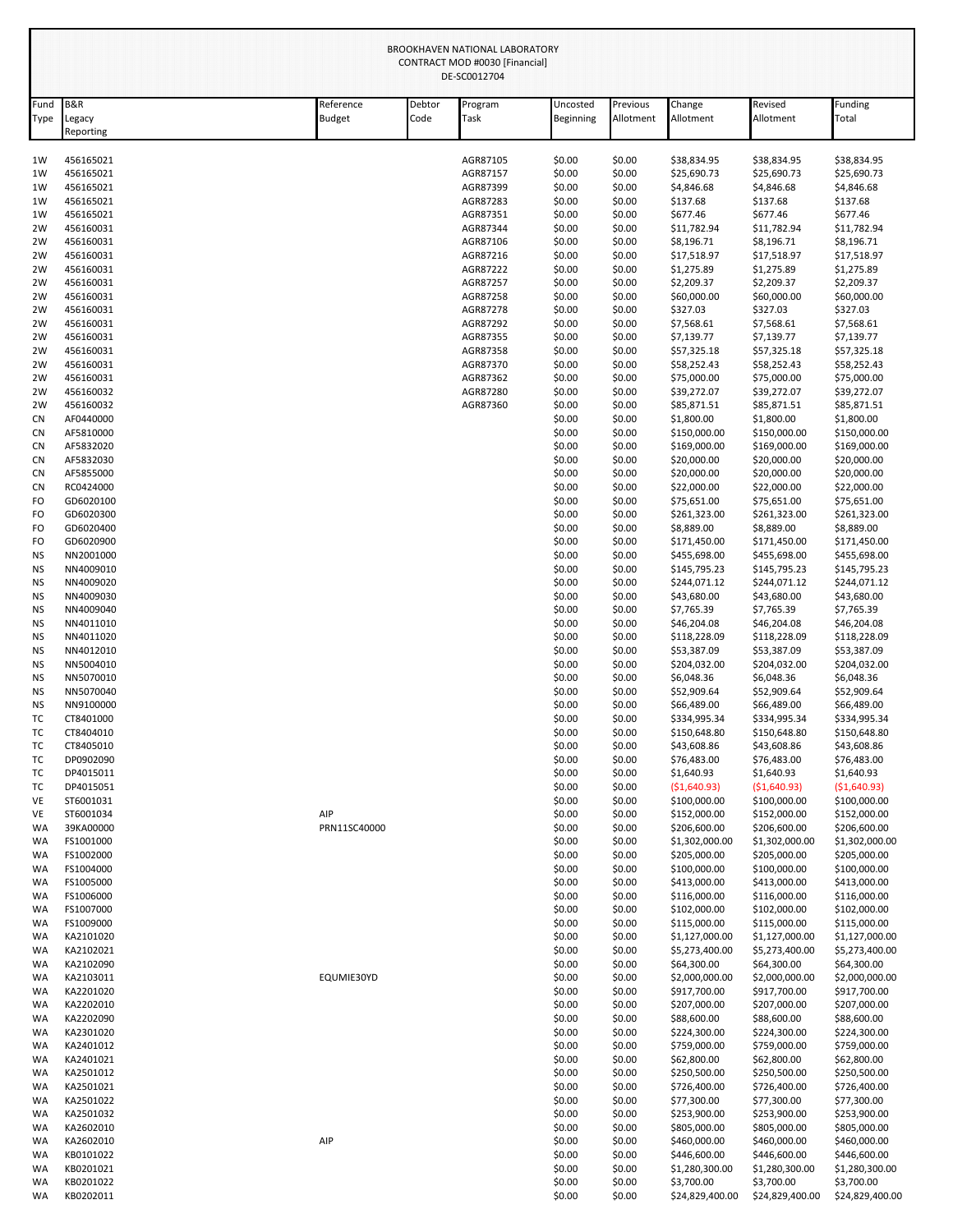|              | BROOKHAVEN NATIONAL LABORATORY<br>CONTRACT MOD #0030 [Financial]<br>DE-SC0012704 |                            |                |                      |                       |                       |                              |                                |                                |
|--------------|----------------------------------------------------------------------------------|----------------------------|----------------|----------------------|-----------------------|-----------------------|------------------------------|--------------------------------|--------------------------------|
| Fund<br>Type | <b>B&amp;R</b><br>Legacy<br>Reporting                                            | Reference<br><b>Budget</b> | Debtor<br>Code | Program<br>Task      | Uncosted<br>Beginning | Previous<br>Allotment | Change<br>Allotment          | Revised<br>Allotment           | Funding<br>Total               |
| 1W           | 456165021                                                                        |                            |                | AGR87105             | \$0.00                | \$0.00                | \$38,834.95                  | \$38,834.95                    | \$38,834.95                    |
| 1W           | 456165021                                                                        |                            |                | AGR87157             | \$0.00                | \$0.00                | \$25,690.73                  | \$25,690.73                    | \$25,690.73                    |
| 1W           | 456165021                                                                        |                            |                | AGR87399             | \$0.00                | \$0.00                | \$4,846.68                   | \$4,846.68                     | \$4,846.68                     |
| 1W           | 456165021                                                                        |                            |                | AGR87283             | \$0.00                | \$0.00                | \$137.68                     | \$137.68                       | \$137.68                       |
| 1W           | 456165021                                                                        |                            |                | AGR87351             | \$0.00                | \$0.00                | \$677.46                     | \$677.46                       | \$677.46                       |
| 2W<br>2W     | 456160031<br>456160031                                                           |                            |                | AGR87344<br>AGR87106 | \$0.00<br>\$0.00      | \$0.00<br>\$0.00      | \$11,782.94<br>\$8,196.71    | \$11,782.94<br>\$8,196.71      | \$11,782.94<br>\$8,196.71      |
| 2W           | 456160031                                                                        |                            |                | AGR87216             | \$0.00                | \$0.00                | \$17,518.97                  | \$17,518.97                    | \$17,518.97                    |
| 2W           | 456160031                                                                        |                            |                | AGR87222             | \$0.00                | \$0.00                | \$1,275.89                   | \$1,275.89                     | \$1,275.89                     |
| 2W           | 456160031                                                                        |                            |                | AGR87257             | \$0.00                | \$0.00                | \$2,209.37                   | \$2,209.37                     | \$2,209.37                     |
| 2W           | 456160031                                                                        |                            |                | AGR87258             | \$0.00                | \$0.00                | \$60,000.00                  | \$60,000.00                    | \$60,000.00                    |
| 2W           | 456160031                                                                        |                            |                | AGR87278<br>AGR87292 | \$0.00                | \$0.00                | \$327.03                     | \$327.03                       | \$327.03                       |
| 2W<br>2W     | 456160031<br>456160031                                                           |                            |                | AGR87355             | \$0.00<br>\$0.00      | \$0.00<br>\$0.00      | \$7,568.61<br>\$7,139.77     | \$7,568.61<br>\$7,139.77       | \$7,568.61<br>\$7,139.77       |
| 2W           | 456160031                                                                        |                            |                | AGR87358             | \$0.00                | \$0.00                | \$57,325.18                  | \$57,325.18                    | \$57,325.18                    |
| 2W           | 456160031                                                                        |                            |                | AGR87370             | \$0.00                | \$0.00                | \$58,252.43                  | \$58,252.43                    | \$58,252.43                    |
| 2W           | 456160031                                                                        |                            |                | AGR87362             | \$0.00                | \$0.00                | \$75,000.00                  | \$75,000.00                    | \$75,000.00                    |
| 2W           | 456160032                                                                        |                            |                | AGR87280             | \$0.00                | \$0.00                | \$39,272.07                  | \$39,272.07                    | \$39,272.07                    |
| 2W           | 456160032                                                                        |                            |                | AGR87360             | \$0.00                | \$0.00                | \$85,871.51                  | \$85,871.51                    | \$85,871.51                    |
| CN<br>CN     | AF0440000<br>AF5810000                                                           |                            |                |                      | \$0.00<br>\$0.00      | \$0.00<br>\$0.00      | \$1,800.00<br>\$150,000.00   | \$1,800.00<br>\$150,000.00     | \$1,800.00<br>\$150,000.00     |
| CN           | AF5832020                                                                        |                            |                |                      | \$0.00                | \$0.00                | \$169,000.00                 | \$169,000.00                   | \$169,000.00                   |
| CN           | AF5832030                                                                        |                            |                |                      | \$0.00                | \$0.00                | \$20,000.00                  | \$20,000.00                    | \$20,000.00                    |
| CN           | AF5855000                                                                        |                            |                |                      | \$0.00                | \$0.00                | \$20,000.00                  | \$20,000.00                    | \$20,000.00                    |
| <b>CN</b>    | RC0424000                                                                        |                            |                |                      | \$0.00                | \$0.00                | \$22,000.00                  | \$22,000.00                    | \$22,000.00                    |
| FO           | GD6020100                                                                        |                            |                |                      | \$0.00                | \$0.00                | \$75,651.00                  | \$75,651.00                    | \$75,651.00                    |
| FO<br>FO     | GD6020300<br>GD6020400                                                           |                            |                |                      | \$0.00<br>\$0.00      | \$0.00<br>\$0.00      | \$261,323.00<br>\$8,889.00   | \$261,323.00<br>\$8,889.00     | \$261,323.00<br>\$8,889.00     |
| FO           | GD6020900                                                                        |                            |                |                      | \$0.00                | \$0.00                | \$171,450.00                 | \$171,450.00                   | \$171,450.00                   |
| NS           | NN2001000                                                                        |                            |                |                      | \$0.00                | \$0.00                | \$455,698.00                 | \$455,698.00                   | \$455,698.00                   |
| ΝS           | NN4009010                                                                        |                            |                |                      | \$0.00                | \$0.00                | \$145,795.23                 | \$145,795.23                   | \$145,795.23                   |
| NS           | NN4009020                                                                        |                            |                |                      | \$0.00                | \$0.00                | \$244,071.12                 | \$244,071.12                   | \$244,071.12                   |
| NS           | NN4009030                                                                        |                            |                |                      | \$0.00                | \$0.00                | \$43,680.00                  | \$43,680.00                    | \$43,680.00                    |
| NS           | NN4009040                                                                        |                            |                |                      | \$0.00                | \$0.00                | \$7,765.39                   | \$7,765.39                     | \$7,765.39                     |
| ΝS<br>NS     | NN4011010<br>NN4011020                                                           |                            |                |                      | \$0.00<br>\$0.00      | \$0.00<br>\$0.00      | \$46,204.08<br>\$118,228.09  | \$46,204.08<br>\$118,228.09    | \$46,204.08<br>\$118,228.09    |
| ΝS           | NN4012010                                                                        |                            |                |                      | \$0.00                | \$0.00                | \$53,387.09                  | \$53,387.09                    | \$53,387.09                    |
| NS           | NN5004010                                                                        |                            |                |                      | \$0.00                | \$0.00                | \$204,032.00                 | \$204,032.00                   | \$204,032.00                   |
| NS           | NN5070010                                                                        |                            |                |                      | \$0.00                | \$0.00                | \$6,048.36                   | \$6,048.36                     | \$6,048.36                     |
| NS           | NN5070040                                                                        |                            |                |                      | \$0.00                | \$0.00                | \$52,909.64                  | \$52,909.64                    | \$52,909.64                    |
| NS           | NN9100000                                                                        |                            |                |                      | \$0.00                | \$0.00                | \$66,489.00                  | \$66,489.00                    | \$66,489.00                    |
| TC<br>тс     | CT8401000<br>CT8404010                                                           |                            |                |                      | \$0.00<br>\$0.00      | \$0.00<br>\$0.00      | \$334,995.34<br>\$150,648.80 | \$334,995.34<br>\$150,648.80   | \$334,995.34<br>\$150,648.80   |
| тс           | CT8405010                                                                        |                            |                |                      | \$0.00                | \$0.00                | \$43,608.86                  | \$43,608.86                    | \$43,608.86                    |
| тc           | DP0902090                                                                        |                            |                |                      | \$0.00                | \$0.00                | \$76,483.00                  | \$76,483.00                    | \$76,483.00                    |
| тc           | DP4015011                                                                        |                            |                |                      | \$0.00                | \$0.00                | \$1,640.93                   | \$1,640.93                     | \$1,640.93                     |
| тс           | DP4015051                                                                        |                            |                |                      | \$0.00                | \$0.00                | (51,640.93)                  | ( \$1,640.93)                  | ( \$1,640.93)                  |
| VE           | ST6001031                                                                        |                            |                |                      | \$0.00                | \$0.00                | \$100,000.00                 | \$100,000.00                   | \$100,000.00                   |
| VE<br>WA     | ST6001034<br>39KA00000                                                           | AIP<br>PRN11SC40000        |                |                      | \$0.00<br>\$0.00      | \$0.00<br>\$0.00      | \$152,000.00<br>\$206,600.00 | \$152,000.00<br>\$206,600.00   | \$152,000.00<br>\$206,600.00   |
| WA           | FS1001000                                                                        |                            |                |                      | \$0.00                | \$0.00                | \$1,302,000.00               | \$1,302,000.00                 | \$1,302,000.00                 |
| WA           | FS1002000                                                                        |                            |                |                      | \$0.00                | \$0.00                | \$205,000.00                 | \$205,000.00                   | \$205,000.00                   |
| WA           | FS1004000                                                                        |                            |                |                      | \$0.00                | \$0.00                | \$100,000.00                 | \$100,000.00                   | \$100,000.00                   |
| WA           | FS1005000                                                                        |                            |                |                      | \$0.00                | \$0.00                | \$413,000.00                 | \$413,000.00                   | \$413,000.00                   |
| WA           | FS1006000                                                                        |                            |                |                      | \$0.00                | \$0.00                | \$116,000.00                 | \$116,000.00                   | \$116,000.00                   |
| WA           | FS1007000<br>FS1009000                                                           |                            |                |                      | \$0.00                | \$0.00                | \$102,000.00<br>\$115,000.00 | \$102,000.00                   | \$102,000.00                   |
| WA<br>WA     | KA2101020                                                                        |                            |                |                      | \$0.00<br>\$0.00      | \$0.00<br>\$0.00      | \$1,127,000.00               | \$115,000.00<br>\$1,127,000.00 | \$115,000.00<br>\$1,127,000.00 |
| WA           | KA2102021                                                                        |                            |                |                      | \$0.00                | \$0.00                | \$5,273,400.00               | \$5,273,400.00                 | \$5,273,400.00                 |
| WA           | KA2102090                                                                        |                            |                |                      | \$0.00                | \$0.00                | \$64,300.00                  | \$64,300.00                    | \$64,300.00                    |
| WA           | KA2103011                                                                        | EQUMIE30YD                 |                |                      | \$0.00                | \$0.00                | \$2,000,000.00               | \$2,000,000.00                 | \$2,000,000.00                 |
| WA           | KA2201020                                                                        |                            |                |                      | \$0.00                | \$0.00                | \$917,700.00                 | \$917,700.00                   | \$917,700.00                   |
| WA           | KA2202010                                                                        |                            |                |                      | \$0.00                | \$0.00                | \$207,000.00                 | \$207,000.00                   | \$207,000.00                   |
| WA<br>WA     | KA2202090<br>KA2301020                                                           |                            |                |                      | \$0.00<br>\$0.00      | \$0.00<br>\$0.00      | \$88,600.00<br>\$224,300.00  | \$88,600.00<br>\$224,300.00    | \$88,600.00<br>\$224,300.00    |
| WA           | KA2401012                                                                        |                            |                |                      | \$0.00                | \$0.00                | \$759,000.00                 | \$759,000.00                   | \$759,000.00                   |
| WA           | KA2401021                                                                        |                            |                |                      | \$0.00                | \$0.00                | \$62,800.00                  | \$62,800.00                    | \$62,800.00                    |
| WA           | KA2501012                                                                        |                            |                |                      | \$0.00                | \$0.00                | \$250,500.00                 | \$250,500.00                   | \$250,500.00                   |
| WA           | KA2501021                                                                        |                            |                |                      | \$0.00                | \$0.00                | \$726,400.00                 | \$726,400.00                   | \$726,400.00                   |
| WA           | KA2501022                                                                        |                            |                |                      | \$0.00                | \$0.00                | \$77,300.00                  | \$77,300.00                    | \$77,300.00                    |
| WA           | KA2501032                                                                        |                            |                |                      | \$0.00                | \$0.00                | \$253,900.00                 | \$253,900.00                   | \$253,900.00                   |
| WA<br>WA     | KA2602010<br>KA2602010                                                           | AIP                        |                |                      | \$0.00<br>\$0.00      | \$0.00<br>\$0.00      | \$805,000.00<br>\$460,000.00 | \$805,000.00<br>\$460,000.00   | \$805,000.00<br>\$460,000.00   |
| WA           | KB0101022                                                                        |                            |                |                      | \$0.00                | \$0.00                | \$446,600.00                 | \$446,600.00                   | \$446,600.00                   |
| WA           | KB0201021                                                                        |                            |                |                      | \$0.00                | \$0.00                | \$1,280,300.00               | \$1,280,300.00                 | \$1,280,300.00                 |
| WA           | KB0201022                                                                        |                            |                |                      | \$0.00                | \$0.00                | \$3,700.00                   | \$3,700.00                     | \$3,700.00                     |
| WA           | KB0202011                                                                        |                            |                |                      | \$0.00                | \$0.00                | \$24,829,400.00              | \$24,829,400.00                | \$24,829,400.00                |